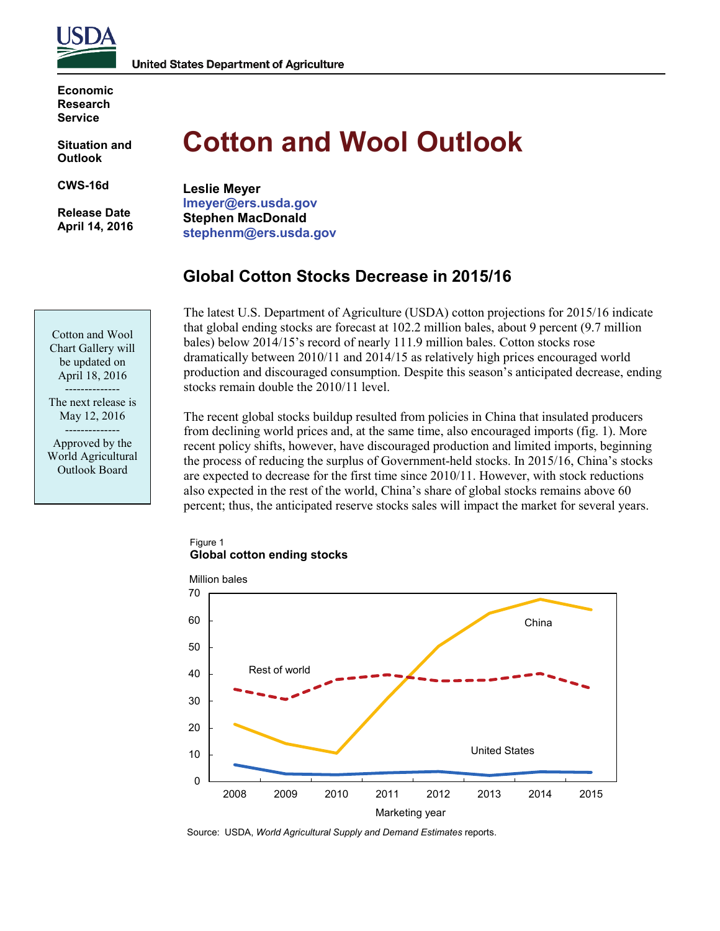

**United States Department of Agriculture** 

**Economic Research Service**

**Situation and Outlook**

**CWS-16d** 

**Release Date April 14, 2016** 

# **Cotton and Wool Outlook**

**Leslie Meyer lmeyer@ers.usda.gov Stephen MacDonald stephenm@ers.usda.gov**

# **Global Cotton Stocks Decrease in 2015/16**

The latest U.S. Department of Agriculture (USDA) cotton projections for 2015/16 indicate that global ending stocks are forecast at 102.2 million bales, about 9 percent (9.7 million bales) below 2014/15's record of nearly 111.9 million bales. Cotton stocks rose dramatically between 2010/11 and 2014/15 as relatively high prices encouraged world production and discouraged consumption. Despite this season's anticipated decrease, ending stocks remain double the 2010/11 level.

The recent global stocks buildup resulted from policies in China that insulated producers from declining world prices and, at the same time, also encouraged imports (fig. 1). More recent policy shifts, however, have discouraged production and limited imports, beginning the process of reducing the surplus of Government-held stocks. In 2015/16, China's stocks are expected to decrease for the first time since 2010/11. However, with stock reductions also expected in the rest of the world, China's share of global stocks remains above 60 percent; thus, the anticipated reserve stocks sales will impact the market for several years.

#### Figure 1 **Global cotton ending stocks**



Source: USDA, *World Agricultural Supply and Demand Estimates* reports.

Cotton and Wool Chart Gallery will be updated on April 18, 2016

-------------- The next release is May 12, 2016

-------------- Approved by the World Agricultural Outlook Board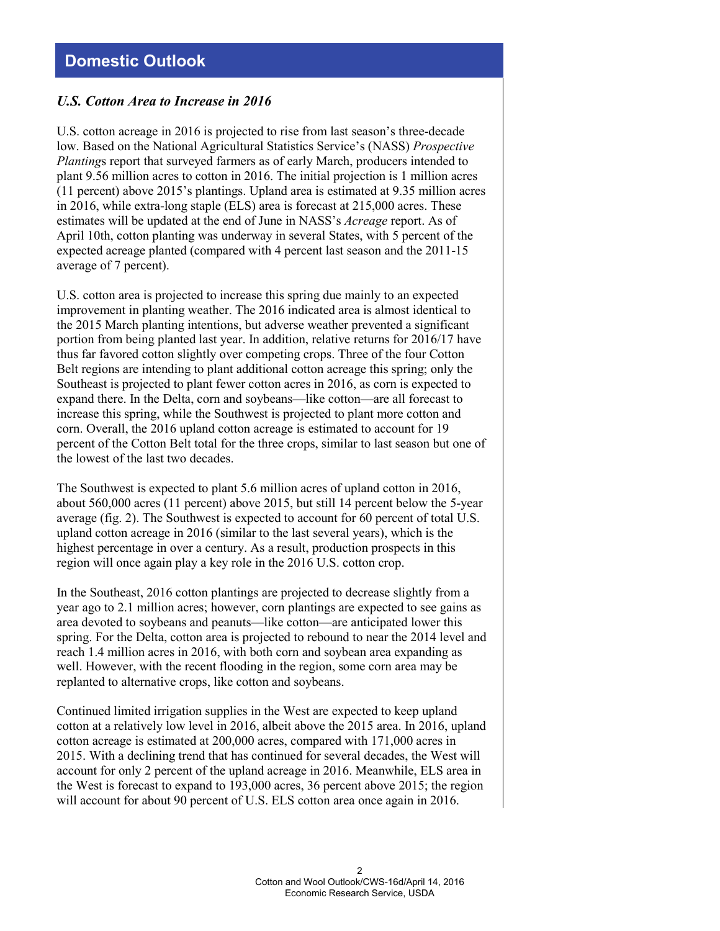# **Domestic Outlook**

#### *U.S. Cotton Area to Increase in 2016*

U.S. cotton acreage in 2016 is projected to rise from last season's three-decade low. Based on the National Agricultural Statistics Service's (NASS) *Prospective Planting*s report that surveyed farmers as of early March, producers intended to plant 9.56 million acres to cotton in 2016. The initial projection is 1 million acres (11 percent) above 2015's plantings. Upland area is estimated at 9.35 million acres in 2016, while extra-long staple (ELS) area is forecast at 215,000 acres. These estimates will be updated at the end of June in NASS's *Acreage* report. As of April 10th, cotton planting was underway in several States, with 5 percent of the expected acreage planted (compared with 4 percent last season and the 2011-15 average of 7 percent).

U.S. cotton area is projected to increase this spring due mainly to an expected improvement in planting weather. The 2016 indicated area is almost identical to the 2015 March planting intentions, but adverse weather prevented a significant portion from being planted last year. In addition, relative returns for 2016/17 have thus far favored cotton slightly over competing crops. Three of the four Cotton Belt regions are intending to plant additional cotton acreage this spring; only the Southeast is projected to plant fewer cotton acres in 2016, as corn is expected to expand there. In the Delta, corn and soybeans—like cotton—are all forecast to increase this spring, while the Southwest is projected to plant more cotton and corn. Overall, the 2016 upland cotton acreage is estimated to account for 19 percent of the Cotton Belt total for the three crops, similar to last season but one of the lowest of the last two decades.

The Southwest is expected to plant 5.6 million acres of upland cotton in 2016, about 560,000 acres (11 percent) above 2015, but still 14 percent below the 5-year average (fig. 2). The Southwest is expected to account for 60 percent of total U.S. upland cotton acreage in 2016 (similar to the last several years), which is the highest percentage in over a century. As a result, production prospects in this region will once again play a key role in the 2016 U.S. cotton crop.

In the Southeast, 2016 cotton plantings are projected to decrease slightly from a year ago to 2.1 million acres; however, corn plantings are expected to see gains as area devoted to soybeans and peanuts—like cotton—are anticipated lower this spring. For the Delta, cotton area is projected to rebound to near the 2014 level and reach 1.4 million acres in 2016, with both corn and soybean area expanding as well. However, with the recent flooding in the region, some corn area may be replanted to alternative crops, like cotton and soybeans.

Continued limited irrigation supplies in the West are expected to keep upland cotton at a relatively low level in 2016, albeit above the 2015 area. In 2016, upland cotton acreage is estimated at 200,000 acres, compared with 171,000 acres in 2015. With a declining trend that has continued for several decades, the West will account for only 2 percent of the upland acreage in 2016. Meanwhile, ELS area in the West is forecast to expand to 193,000 acres, 36 percent above 2015; the region will account for about 90 percent of U.S. ELS cotton area once again in 2016.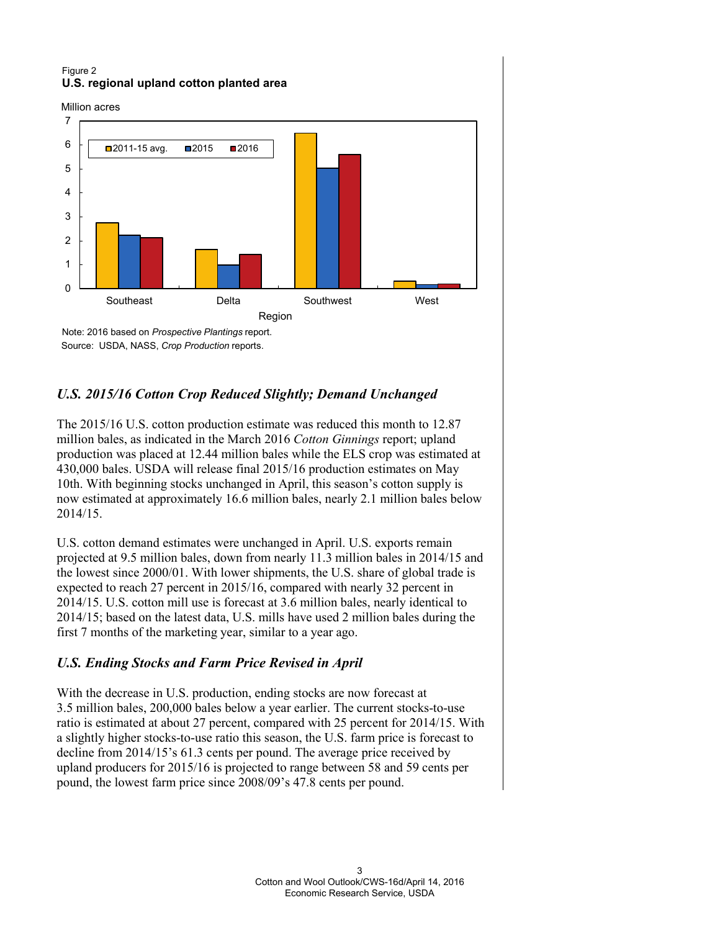#### Figure 2 **U.S. regional upland cotton planted area**

Source: USDA, NASS, *Crop Production* reports.

Million acres



# *U.S. 2015/16 Cotton Crop Reduced Slightly; Demand Unchanged*

The 2015/16 U.S. cotton production estimate was reduced this month to 12.87 million bales, as indicated in the March 2016 *Cotton Ginnings* report; upland production was placed at 12.44 million bales while the ELS crop was estimated at 430,000 bales. USDA will release final 2015/16 production estimates on May 10th. With beginning stocks unchanged in April, this season's cotton supply is now estimated at approximately 16.6 million bales, nearly 2.1 million bales below 2014/15.

U.S. cotton demand estimates were unchanged in April. U.S. exports remain projected at 9.5 million bales, down from nearly 11.3 million bales in 2014/15 and the lowest since 2000/01. With lower shipments, the U.S. share of global trade is expected to reach 27 percent in 2015/16, compared with nearly 32 percent in 2014/15. U.S. cotton mill use is forecast at 3.6 million bales, nearly identical to 2014/15; based on the latest data, U.S. mills have used 2 million bales during the first 7 months of the marketing year, similar to a year ago.

# *U.S. Ending Stocks and Farm Price Revised in April*

With the decrease in U.S. production, ending stocks are now forecast at 3.5 million bales, 200,000 bales below a year earlier. The current stocks-to-use ratio is estimated at about 27 percent, compared with 25 percent for 2014/15. With a slightly higher stocks-to-use ratio this season, the U.S. farm price is forecast to decline from 2014/15's 61.3 cents per pound. The average price received by upland producers for 2015/16 is projected to range between 58 and 59 cents per pound, the lowest farm price since 2008/09's 47.8 cents per pound.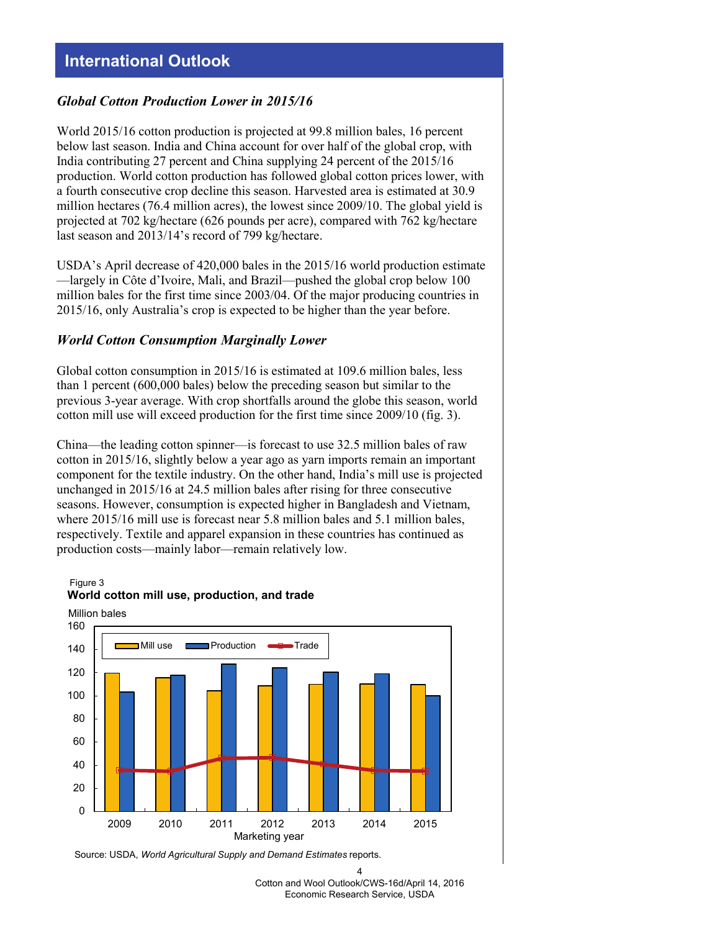# **International Outlook**

#### *Global Cotton Production Lower in 2015/16*

World 2015/16 cotton production is projected at 99.8 million bales, 16 percent below last season. India and China account for over half of the global crop, with India contributing 27 percent and China supplying 24 percent of the 2015/16 production. World cotton production has followed global cotton prices lower, with a fourth consecutive crop decline this season. Harvested area is estimated at 30.9 million hectares (76.4 million acres), the lowest since 2009/10. The global yield is projected at 702 kg/hectare (626 pounds per acre), compared with 762 kg/hectare last season and 2013/14's record of 799 kg/hectare.

USDA's April decrease of 420,000 bales in the 2015/16 world production estimate —largely in Côte d'Ivoire, Mali, and Brazil—pushed the global crop below 100 million bales for the first time since 2003/04. Of the major producing countries in 2015/16, only Australia's crop is expected to be higher than the year before.

#### *World Cotton Consumption Marginally Lower*

Global cotton consumption in 2015/16 is estimated at 109.6 million bales, less than 1 percent (600,000 bales) below the preceding season but similar to the previous 3-year average. With crop shortfalls around the globe this season, world cotton mill use will exceed production for the first time since 2009/10 (fig. 3).

China—the leading cotton spinner—is forecast to use 32.5 million bales of raw cotton in 2015/16, slightly below a year ago as yarn imports remain an important component for the textile industry. On the other hand, India's mill use is projected unchanged in 2015/16 at 24.5 million bales after rising for three consecutive seasons. However, consumption is expected higher in Bangladesh and Vietnam, where 2015/16 mill use is forecast near 5.8 million bales and 5.1 million bales, respectively. Textile and apparel expansion in these countries has continued as production costs—mainly labor—remain relatively low.

Figure 3 **World cotton mill use, production, and trade** 



Source: USDA, *World Agricultural Supply and Demand Estimates* reports.

<sup>4</sup> Cotton and Wool Outlook/CWS-16d/April 14, 2016 Economic Research Service, USDA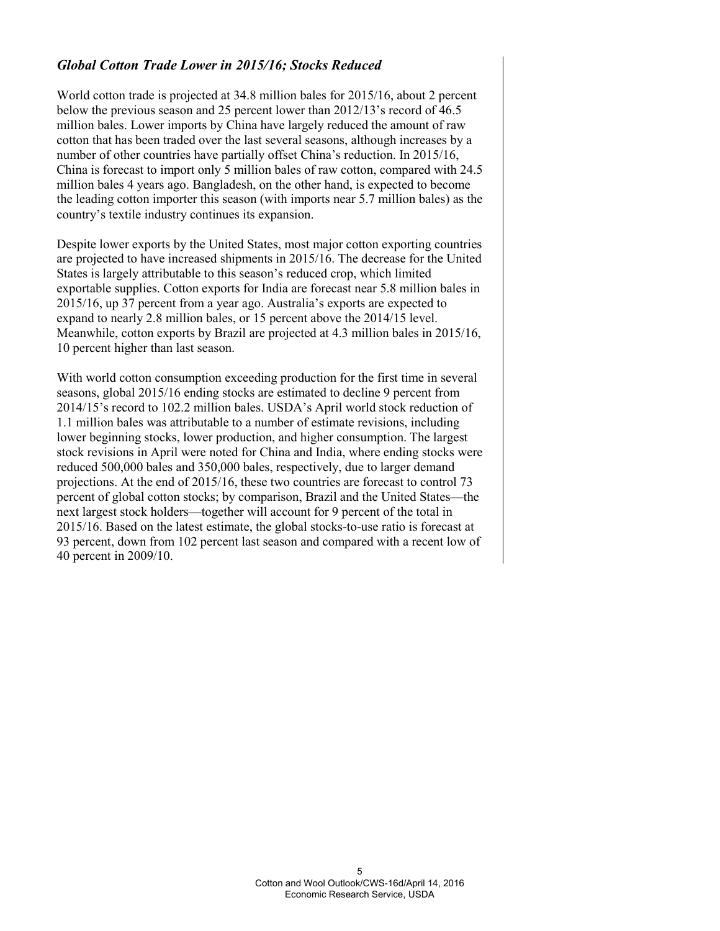## *Global Cotton Trade Lower in 2015/16; Stocks Reduced*

World cotton trade is projected at 34.8 million bales for 2015/16, about 2 percent below the previous season and 25 percent lower than 2012/13's record of 46.5 million bales. Lower imports by China have largely reduced the amount of raw cotton that has been traded over the last several seasons, although increases by a number of other countries have partially offset China's reduction. In 2015/16, China is forecast to import only 5 million bales of raw cotton, compared with 24.5 million bales 4 years ago. Bangladesh, on the other hand, is expected to become the leading cotton importer this season (with imports near 5.7 million bales) as the country's textile industry continues its expansion.

Despite lower exports by the United States, most major cotton exporting countries are projected to have increased shipments in 2015/16. The decrease for the United States is largely attributable to this season's reduced crop, which limited exportable supplies. Cotton exports for India are forecast near 5.8 million bales in 2015/16, up 37 percent from a year ago. Australia's exports are expected to expand to nearly 2.8 million bales, or 15 percent above the 2014/15 level. Meanwhile, cotton exports by Brazil are projected at 4.3 million bales in 2015/16, 10 percent higher than last season.

With world cotton consumption exceeding production for the first time in several seasons, global 2015/16 ending stocks are estimated to decline 9 percent from 2014/15's record to 102.2 million bales. USDA's April world stock reduction of 1.1 million bales was attributable to a number of estimate revisions, including lower beginning stocks, lower production, and higher consumption. The largest stock revisions in April were noted for China and India, where ending stocks were reduced 500,000 bales and 350,000 bales, respectively, due to larger demand projections. At the end of 2015/16, these two countries are forecast to control 73 percent of global cotton stocks; by comparison, Brazil and the United States—the next largest stock holders—together will account for 9 percent of the total in 2015/16. Based on the latest estimate, the global stocks-to-use ratio is forecast at 93 percent, down from 102 percent last season and compared with a recent low of 40 percent in 2009/10.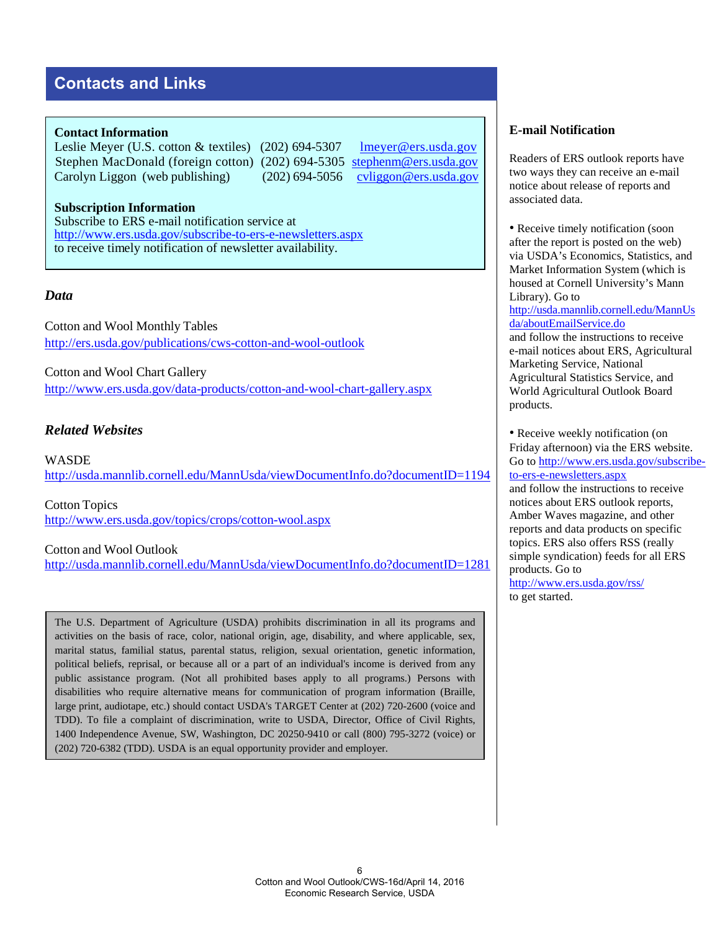# **Contacts and Links**

#### **Contact Information**

Leslie Meyer (U.S. cotton & textiles) (202) 694-5307 [lmeyer@ers.usda.gov](mailto:cvliggon@ers.usda.gov) Stephen MacDonald (foreign cotton) (202) 694-5305 stephenm@ers.usda.gov Carolyn Liggon (web publishing) (202) 694-5056 cyliggon@ers.usda.gov

#### **[Subscription Information](http://www.ers.usda.gov/subscribe-to-ers-e-newsletters.aspx)** Subscribe to ERS e-mail notification service at http://www.ers.usda.gov/subscribe-to-ers-e-newsletters.aspx to receive timely notification of newsletter availability.

## *Data*

Cotton and [Wool Monthly Tables](http://www.ers.usda.gov/publications/cws-cotton-and-wool-outlook/) http://ers.usda.gov/publications/cws-cotton-and-wool-outlook

[Cotton and Wool](http://www.ers.usda.gov/data-products/cotton-and-wool-chart-gallery.aspx) Chart Gallery http://www.ers.usda.gov/data-products/cotton-and-wool-chart-gallery.aspx

## *Related Websites*

**[WASDE](http://usda.mannlib.cornell.edu/MannUsda/viewDocumentInfo.do?documentID=1194)** http://usda.mannlib.cornell.edu/MannUsda/viewDocumentInfo.do?documentID=1194

[Cotton Topics](http://www.ers.usda.gov/topics/crops/cotton-wool.aspx)  http://www.ers.usda.gov/topics/crops/cotton-wool.aspx

#### [Cotton and Wool Outlook](http://usda.mannlib.cornell.edu/MannUsda/viewDocumentInfo.do?documentID=1281)

http://usda.mannlib.cornell.edu/MannUsda/viewDocumentInfo.do?documentID=1281

The U.S. Department of Agriculture (USDA) prohibits discrimination in all its programs and activities on the basis of race, color, national origin, age, disability, and where applicable, sex, marital status, familial status, parental status, religion, sexual orientation, genetic information, political beliefs, reprisal, or because all or a part of an individual's income is derived from any public assistance program. (Not all prohibited bases apply to all programs.) Persons with disabilities who require alternative means for communication of program information (Braille, large print, audiotape, etc.) should contact USDA's TARGET Center at (202) 720-2600 (voice and TDD). To file a complaint of discrimination, write to USDA, Director, Office of Civil Rights, 1400 Independence Avenue, SW, Washington, DC 20250-9410 or call (800) 795-3272 (voice) or (202) 720-6382 (TDD). USDA is an equal opportunity provider and employer.

### **E-mail Notification**

Readers of ERS outlook reports have two ways they can receive an e-mail notice about release of reports and associated data.

• Receive timely notification (soon after the report is posted on the web) via USDA's Economics, Statistics, and Market Information System (which is housed [at Cornell University's Mann](http://usda.mannlib.cornell.edu/MannUsda/aboutEmailService.do)  Library). Go to

[http://usda.mannlib.cornel](http://usda.mannlib.cornell.edu/MannUsda/aboutEmailService.do)l.edu/MannUs da/aboutEmailService.do and follow the instructions to receive e-mail notices about ERS, Agricultural Marketing Service, National

Agricultural Statistics Service, and World Agricultural Outlook Board products.

• Rec[eive weekly notification](http://www.ers.usda.gov/subscribe-to-ers-e-newsletters.aspx) (on [Friday afternoon\) via the](http://www.ers.usda.gov/subscribe-to-ers-e-newsletters.aspx) ERS website. Go to http://www.ers.usda.gov/subscribeto-ers-e-newsletters.aspx and follow the instructions to receive notices about ERS outlook reports, Amber Waves magazine, and other reports and data products on specific topics. ERS also offers RSS (really [simple syndication\) feeds for](http://www.ers.usda.gov/rss/) all ERS products. Go to

http://www.ers.usda.gov/rss/ to get started.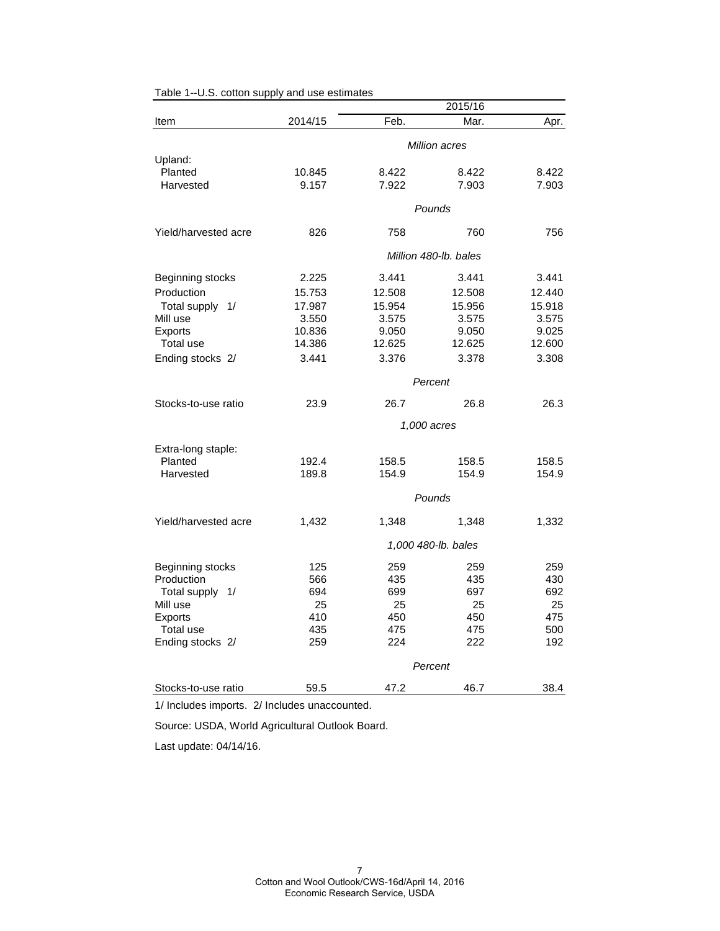|                      |                       |        | 2015/16             |        |  |
|----------------------|-----------------------|--------|---------------------|--------|--|
| Item                 | 2014/15               | Feb.   | Mar.                | Apr.   |  |
|                      | Million acres         |        |                     |        |  |
| Upland:              |                       |        |                     |        |  |
| Planted              | 10.845                | 8.422  | 8.422               | 8.422  |  |
| Harvested            | 9.157                 | 7.922  | 7.903               | 7.903  |  |
|                      |                       |        |                     |        |  |
|                      | Pounds                |        |                     |        |  |
| Yield/harvested acre | 826                   | 758    | 760                 | 756    |  |
|                      | Million 480-lb, bales |        |                     |        |  |
| Beginning stocks     | 2.225                 | 3.441  | 3.441               | 3.441  |  |
| Production           | 15.753                | 12.508 | 12.508              | 12.440 |  |
| Total supply 1/      | 17.987                | 15.954 | 15.956              | 15.918 |  |
| Mill use             | 3.550                 | 3.575  | 3.575               | 3.575  |  |
| Exports              | 10.836                | 9.050  | 9.050               | 9.025  |  |
| Total use            | 14.386                | 12.625 | 12.625              | 12.600 |  |
| Ending stocks 2/     | 3.441                 | 3.376  | 3.378               | 3.308  |  |
|                      | Percent               |        |                     |        |  |
| Stocks-to-use ratio  | 23.9                  | 26.7   | 26.8                | 26.3   |  |
|                      |                       |        | 1,000 acres         |        |  |
|                      |                       |        |                     |        |  |
| Extra-long staple:   |                       |        |                     |        |  |
| Planted              | 192.4                 | 158.5  | 158.5               | 158.5  |  |
| Harvested            | 189.8                 | 154.9  | 154.9               | 154.9  |  |
|                      |                       |        | Pounds              |        |  |
| Yield/harvested acre | 1,432                 | 1,348  | 1,348               | 1,332  |  |
|                      |                       |        | 1,000 480-lb. bales |        |  |
| Beginning stocks     | 125                   | 259    | 259                 | 259    |  |
| Production           | 566                   | 435    | 435                 | 430    |  |
| Total supply 1/      | 694                   | 699    | 697                 | 692    |  |
| Mill use             | 25                    | 25     | 25                  | 25     |  |
| <b>Exports</b>       | 410                   | 450    | 450                 | 475    |  |
| Total use            | 435                   | 475    | 475                 | 500    |  |
| Ending stocks 2/     | 259                   | 224    | 222                 | 192    |  |
|                      |                       |        | Percent             |        |  |
| Stocks-to-use ratio  | 59.5                  | 47.2   | 46.7                | 38.4   |  |

Table 1--U.S. cotton supply and use estimates

1/ Includes imports. 2/ Includes unaccounted.

Source: USDA, World Agricultural Outlook Board.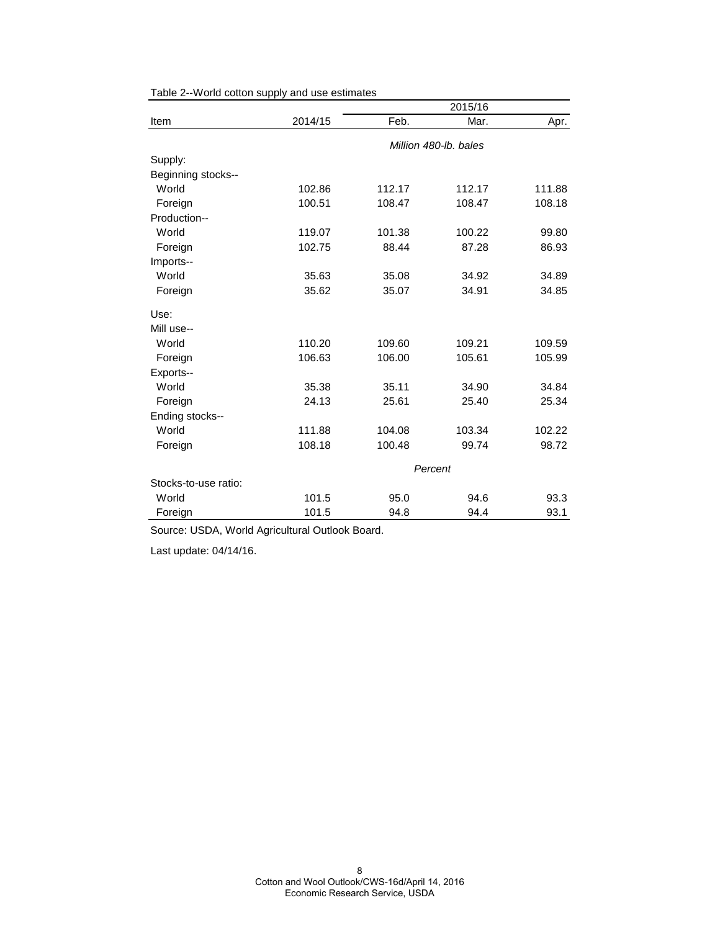|                      |         |                       | 2015/16 |        |  |
|----------------------|---------|-----------------------|---------|--------|--|
| Item                 | 2014/15 | Feb.                  | Mar.    | Apr.   |  |
|                      |         | Million 480-lb, bales |         |        |  |
| Supply:              |         |                       |         |        |  |
| Beginning stocks--   |         |                       |         |        |  |
| World                | 102.86  | 112.17                | 112.17  | 111.88 |  |
| Foreign              | 100.51  | 108.47                | 108.47  | 108.18 |  |
| Production--         |         |                       |         |        |  |
| World                | 119.07  | 101.38                | 100.22  | 99.80  |  |
| Foreign              | 102.75  | 88.44                 | 87.28   | 86.93  |  |
| Imports--            |         |                       |         |        |  |
| World                | 35.63   | 35.08                 | 34.92   | 34.89  |  |
| Foreign              | 35.62   | 35.07                 | 34.91   | 34.85  |  |
| Use:                 |         |                       |         |        |  |
| Mill use--           |         |                       |         |        |  |
| World                | 110.20  | 109.60                | 109.21  | 109.59 |  |
| Foreign              | 106.63  | 106.00                | 105.61  | 105.99 |  |
| Exports--            |         |                       |         |        |  |
| World                | 35.38   | 35.11                 | 34.90   | 34.84  |  |
| Foreign              | 24.13   | 25.61                 | 25.40   | 25.34  |  |
| Ending stocks--      |         |                       |         |        |  |
| World                | 111.88  | 104.08                | 103.34  | 102.22 |  |
| Foreign              | 108.18  | 100.48                | 99.74   | 98.72  |  |
|                      |         | Percent               |         |        |  |
| Stocks-to-use ratio: |         |                       |         |        |  |
| World                | 101.5   | 95.0                  | 94.6    | 93.3   |  |
| Foreign              | 101.5   | 94.8                  | 94.4    | 93.1   |  |

Table 2--World cotton supply and use estimates

Source: USDA, World Agricultural Outlook Board.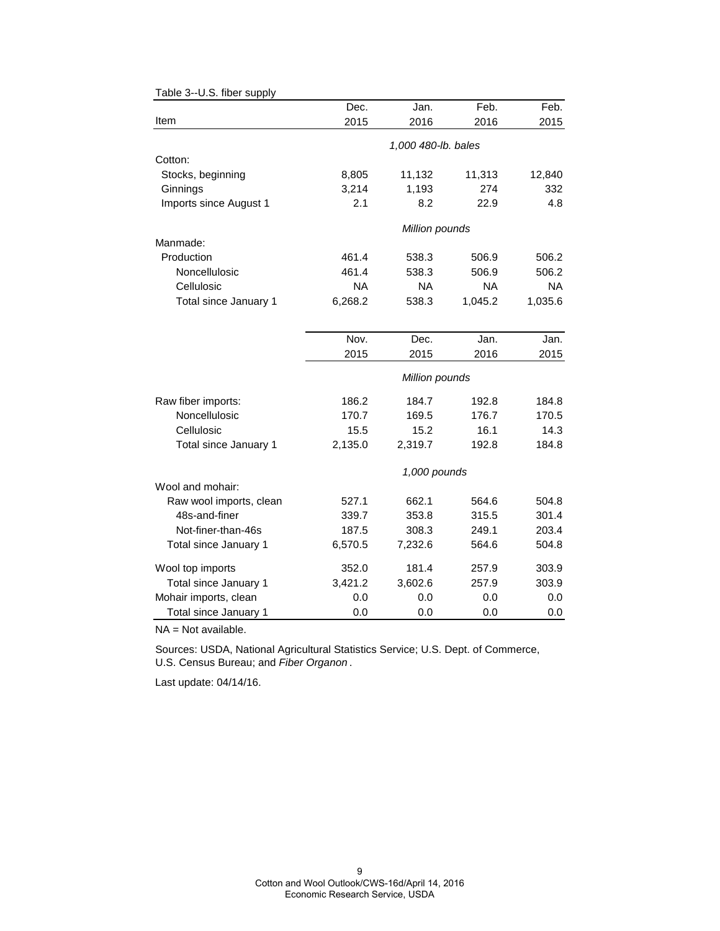|                         | Dec.           | Jan.                | Feb.      | Feb.      |  |
|-------------------------|----------------|---------------------|-----------|-----------|--|
| Item                    | 2015           | 2016                | 2016      | 2015      |  |
|                         |                | 1,000 480-lb. bales |           |           |  |
| Cotton:                 |                |                     |           |           |  |
| Stocks, beginning       | 8,805          | 11,132              | 11,313    | 12,840    |  |
| Ginnings                | 3,214          | 1,193               | 274       | 332       |  |
| Imports since August 1  | 2.1            | 8.2                 | 22.9      | 4.8       |  |
|                         |                | Million pounds      |           |           |  |
| Manmade:                |                |                     |           |           |  |
| Production              | 461.4          | 538.3               | 506.9     | 506.2     |  |
| Noncellulosic           | 461.4          | 538.3               | 506.9     | 506.2     |  |
| Cellulosic              | <b>NA</b>      | <b>NA</b>           | <b>NA</b> | <b>NA</b> |  |
| Total since January 1   | 6,268.2        | 538.3               | 1,045.2   | 1,035.6   |  |
|                         |                |                     |           |           |  |
|                         | Nov.           | Dec.                | Jan.      | Jan.      |  |
|                         | 2015           | 2015                | 2016      | 2015      |  |
|                         | Million pounds |                     |           |           |  |
| Raw fiber imports:      | 186.2          | 184.7               | 192.8     | 184.8     |  |
| Noncellulosic           | 170.7          | 169.5               | 176.7     | 170.5     |  |
| Cellulosic              | 15.5           | 15.2                | 16.1      | 14.3      |  |
| Total since January 1   | 2,135.0        | 2,319.7             | 192.8     | 184.8     |  |
|                         |                | 1,000 pounds        |           |           |  |
| Wool and mohair:        |                |                     |           |           |  |
| Raw wool imports, clean | 527.1          | 662.1               | 564.6     | 504.8     |  |
| 48s-and-finer           | 339.7          | 353.8               | 315.5     | 301.4     |  |
| Not-finer-than-46s      | 187.5          | 308.3               | 249.1     | 203.4     |  |
| Total since January 1   | 6,570.5        | 7,232.6             | 564.6     | 504.8     |  |
| Wool top imports        | 352.0          | 181.4               | 257.9     | 303.9     |  |
| Total since January 1   | 3,421.2        | 3,602.6             | 257.9     | 303.9     |  |
| Mohair imports, clean   | 0.0            | 0.0                 | 0.0       | 0.0       |  |
| Total since January 1   | 0.0            | 0.0                 | 0.0       | 0.0       |  |

Table 3--U.S. fiber supply

NA = Not available.

Sources: USDA, National Agricultural Statistics Service; U.S. Dept. of Commerce, U.S. Census Bureau; and *Fiber Organon* .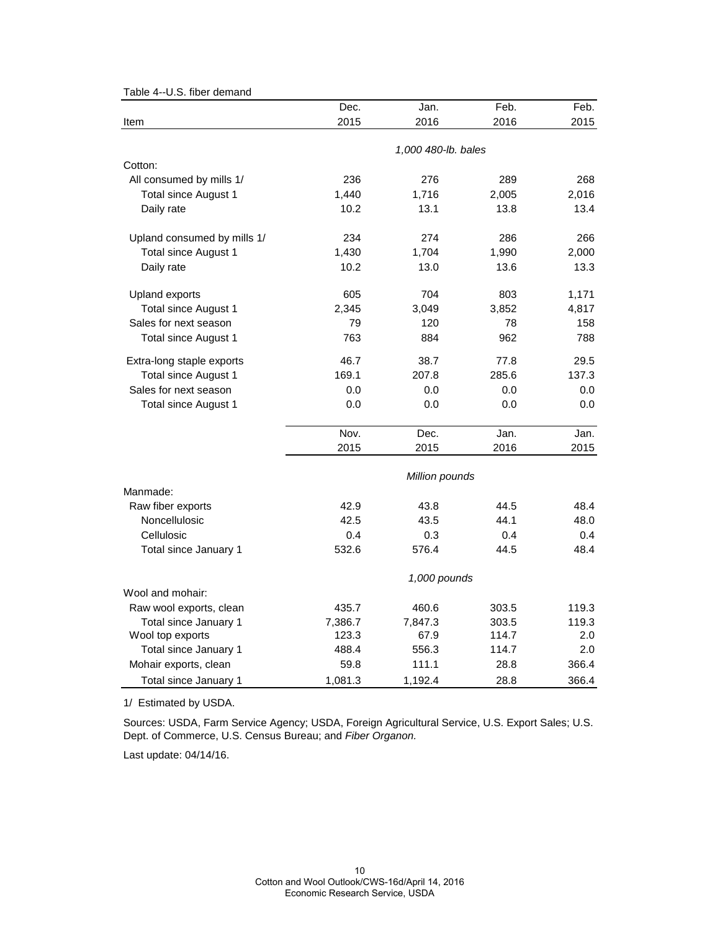| 0.0. 11001 001110110        |         |                     |       |       |
|-----------------------------|---------|---------------------|-------|-------|
|                             | Dec.    | Jan.                | Feb.  | Feb.  |
| Item                        | 2015    | 2016                | 2016  | 2015  |
|                             |         | 1,000 480-lb. bales |       |       |
| Cotton:                     |         |                     |       |       |
| All consumed by mills 1/    | 236     | 276                 | 289   | 268   |
| <b>Total since August 1</b> | 1,440   | 1,716               | 2,005 | 2,016 |
| Daily rate                  | 10.2    | 13.1                | 13.8  | 13.4  |
|                             |         |                     |       |       |
| Upland consumed by mills 1/ | 234     | 274                 | 286   | 266   |
| Total since August 1        | 1,430   | 1,704               | 1,990 | 2,000 |
| Daily rate                  | 10.2    | 13.0                | 13.6  | 13.3  |
| <b>Upland exports</b>       | 605     | 704                 | 803   | 1,171 |
| Total since August 1        | 2,345   | 3,049               | 3,852 | 4,817 |
| Sales for next season       | 79      | 120                 | 78    | 158   |
| Total since August 1        | 763     | 884                 | 962   | 788   |
| Extra-long staple exports   | 46.7    | 38.7                | 77.8  | 29.5  |
| Total since August 1        | 169.1   | 207.8               | 285.6 | 137.3 |
| Sales for next season       | 0.0     | 0.0                 | 0.0   | 0.0   |
| <b>Total since August 1</b> | 0.0     | 0.0                 | 0.0   | 0.0   |
|                             | Nov.    | Dec.                | Jan.  | Jan.  |
|                             | 2015    | 2015                | 2016  | 2015  |
|                             |         | Million pounds      |       |       |
| Manmade:                    |         |                     |       |       |
| Raw fiber exports           | 42.9    | 43.8                | 44.5  | 48.4  |
| Noncellulosic               | 42.5    | 43.5                | 44.1  | 48.0  |
| Cellulosic                  | 0.4     | 0.3                 | 0.4   | 0.4   |
| Total since January 1       | 532.6   | 576.4               | 44.5  | 48.4  |
|                             |         | 1,000 pounds        |       |       |
| Wool and mohair:            |         |                     |       |       |
| Raw wool exports, clean     | 435.7   | 460.6               | 303.5 | 119.3 |
| Total since January 1       | 7,386.7 | 7,847.3             | 303.5 | 119.3 |
| Wool top exports            | 123.3   | 67.9                | 114.7 | 2.0   |
| Total since January 1       | 488.4   | 556.3               | 114.7 | 2.0   |
| Mohair exports, clean       | 59.8    | 111.1               | 28.8  | 366.4 |
| Total since January 1       | 1,081.3 | 1,192.4             | 28.8  | 366.4 |

Table 4--U.S. fiber demand

1/ Estimated by USDA.

Sources: USDA, Farm Service Agency; USDA, Foreign Agricultural Service, U.S. Export Sales; U.S. Dept. of Commerce, U.S. Census Bureau; and *Fiber Organon.*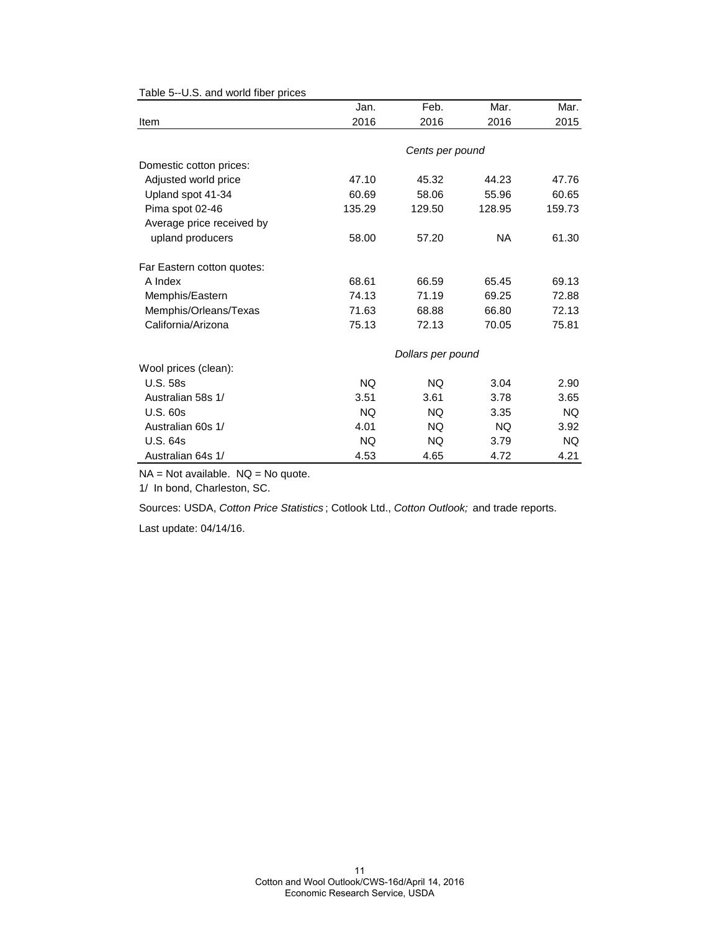|                            | Jan.      | Feb.              | Mar.      | Mar.      |
|----------------------------|-----------|-------------------|-----------|-----------|
| Item                       | 2016      | 2016              | 2016      | 2015      |
|                            |           |                   |           |           |
|                            |           | Cents per pound   |           |           |
| Domestic cotton prices:    |           |                   |           |           |
| Adjusted world price       | 47.10     | 45.32             | 44.23     | 47.76     |
| Upland spot 41-34          | 60.69     | 58.06             | 55.96     | 60.65     |
| Pima spot 02-46            | 135.29    | 129.50            | 128.95    | 159.73    |
| Average price received by  |           |                   |           |           |
| upland producers           | 58.00     | 57.20             | <b>NA</b> | 61.30     |
| Far Eastern cotton quotes: |           |                   |           |           |
| A Index                    | 68.61     | 66.59             | 65.45     | 69.13     |
| Memphis/Eastern            | 74.13     | 71.19             | 69.25     | 72.88     |
| Memphis/Orleans/Texas      | 71.63     | 68.88             | 66.80     | 72.13     |
| California/Arizona         | 75.13     | 72.13             | 70.05     | 75.81     |
|                            |           | Dollars per pound |           |           |
| Wool prices (clean):       |           |                   |           |           |
| <b>U.S. 58s</b>            | NQ.       | NQ.               | 3.04      | 2.90      |
| Australian 58s 1/          | 3.51      | 3.61              | 3.78      | 3.65      |
| <b>U.S. 60s</b>            | <b>NQ</b> | <b>NQ</b>         | 3.35      | <b>NQ</b> |
| Australian 60s 1/          | 4.01      | NQ.               | NQ.       | 3.92      |
| <b>U.S. 64s</b>            | NQ.       | NQ.               | 3.79      | NQ.       |
| Australian 64s 1/          | 4.53      | 4.65              | 4.72      | 4.21      |

Table 5--U.S. and world fiber prices

 $NA = Not available.$   $NQ = No$  quote.

1/ In bond, Charleston, SC.

Sources: USDA, *Cotton Price Statistics* ; Cotlook Ltd., *Cotton Outlook;* and trade reports.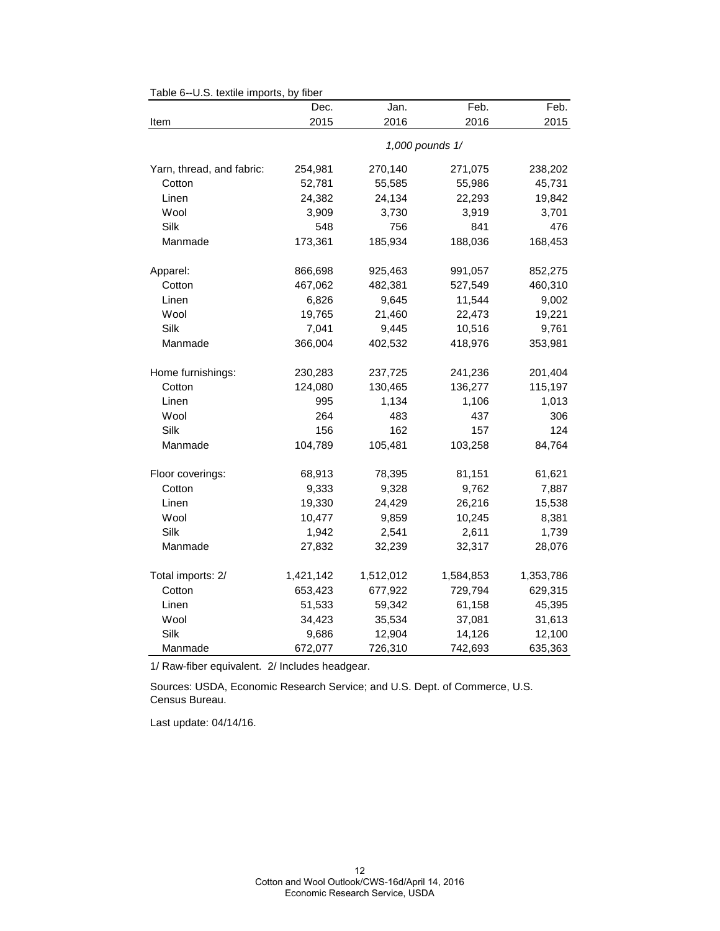| i avit v<br>$-0.0.$ textile imports, by | 110GI<br>Dec. | Jan.      | Feb.            | Feb.      |
|-----------------------------------------|---------------|-----------|-----------------|-----------|
| Item                                    | 2015          | 2016      | 2016            | 2015      |
|                                         |               |           | 1,000 pounds 1/ |           |
| Yarn, thread, and fabric:               | 254,981       | 270,140   | 271,075         | 238,202   |
| Cotton                                  | 52,781        | 55,585    | 55,986          | 45,731    |
| Linen                                   | 24,382        | 24,134    | 22,293          | 19,842    |
| Wool                                    | 3,909         | 3,730     | 3,919           | 3,701     |
| Silk                                    | 548           | 756       | 841             | 476       |
| Manmade                                 | 173,361       | 185,934   | 188,036         | 168,453   |
| Apparel:                                | 866,698       | 925,463   | 991,057         | 852,275   |
| Cotton                                  | 467,062       | 482,381   | 527,549         | 460,310   |
| Linen                                   | 6,826         | 9,645     | 11,544          | 9,002     |
| Wool                                    | 19,765        | 21,460    | 22,473          | 19,221    |
| Silk                                    | 7,041         | 9,445     | 10,516          | 9,761     |
| Manmade                                 | 366,004       | 402,532   | 418,976         | 353,981   |
| Home furnishings:                       | 230,283       | 237,725   | 241,236         | 201,404   |
| Cotton                                  | 124,080       | 130,465   | 136,277         | 115,197   |
| Linen                                   | 995           | 1,134     | 1,106           | 1,013     |
| Wool                                    | 264           | 483       | 437             | 306       |
| Silk                                    | 156           | 162       | 157             | 124       |
| Manmade                                 | 104,789       | 105,481   | 103,258         | 84,764    |
| Floor coverings:                        | 68,913        | 78,395    | 81,151          | 61,621    |
| Cotton                                  | 9,333         | 9,328     | 9,762           | 7,887     |
| Linen                                   | 19,330        | 24,429    | 26,216          | 15,538    |
| Wool                                    | 10,477        | 9,859     | 10,245          | 8,381     |
| Silk                                    | 1,942         | 2,541     | 2,611           | 1,739     |
| Manmade                                 | 27,832        | 32,239    | 32,317          | 28,076    |
| Total imports: 2/                       | 1,421,142     | 1,512,012 | 1,584,853       | 1,353,786 |
| Cotton                                  | 653,423       | 677,922   | 729,794         | 629,315   |
| Linen                                   | 51,533        | 59,342    | 61,158          | 45,395    |
| Wool                                    | 34,423        | 35,534    | 37,081          | 31,613    |
| Silk                                    | 9,686         | 12,904    | 14,126          | 12,100    |
| Manmade                                 | 672,077       | 726,310   | 742,693         | 635,363   |

#### Table 6--U.S. textile imports, by fiber

1/ Raw-fiber equivalent. 2/ Includes headgear.

Sources: USDA, Economic Research Service; and U.S. Dept. of Commerce, U.S. Census Bureau.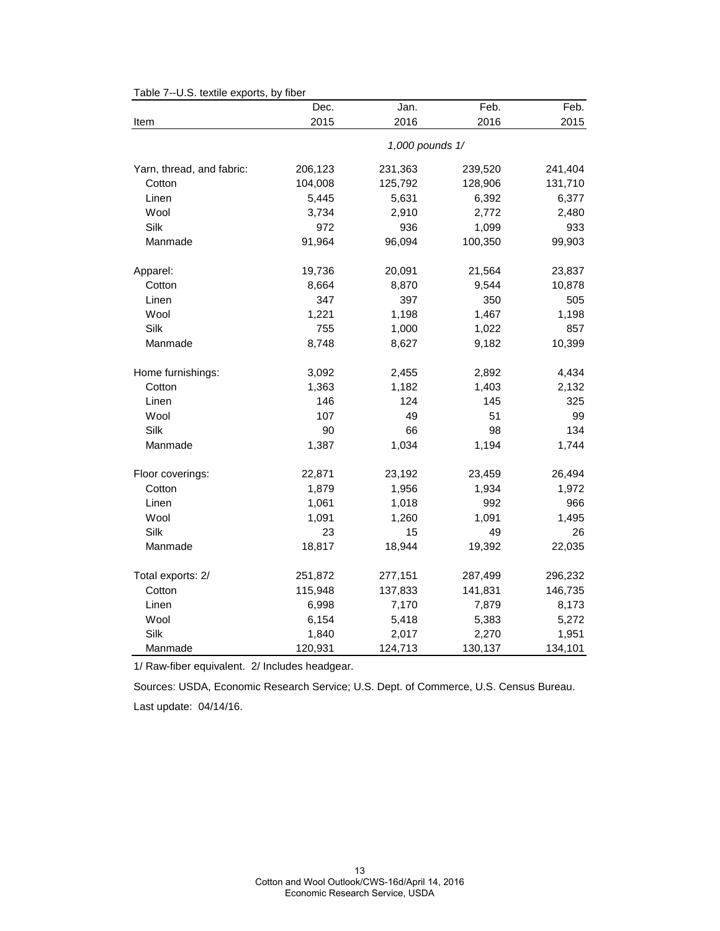|  | Table 7--U.S. textile exports, by fiber |  |
|--|-----------------------------------------|--|
|--|-----------------------------------------|--|

|                           | Dec.            | Jan.    | Feb.    | Feb.    |
|---------------------------|-----------------|---------|---------|---------|
| Item                      | 2015            | 2016    | 2016    | 2015    |
|                           | 1,000 pounds 1/ |         |         |         |
| Yarn, thread, and fabric: | 206,123         | 231,363 | 239,520 | 241,404 |
| Cotton                    | 104,008         | 125,792 | 128,906 | 131,710 |
| Linen                     | 5,445           | 5,631   | 6,392   | 6,377   |
| Wool                      | 3,734           | 2,910   | 2,772   | 2,480   |
| Silk                      | 972             | 936     | 1,099   | 933     |
| Manmade                   | 91,964          | 96,094  | 100,350 | 99,903  |
| Apparel:                  | 19,736          | 20,091  | 21,564  | 23,837  |
| Cotton                    | 8,664           | 8,870   | 9,544   | 10,878  |
| Linen                     | 347             | 397     | 350     | 505     |
| Wool                      | 1,221           | 1,198   | 1,467   | 1,198   |
| Silk                      | 755             | 1,000   | 1,022   | 857     |
| Manmade                   | 8,748           | 8,627   | 9,182   | 10,399  |
| Home furnishings:         | 3,092           | 2,455   | 2,892   | 4,434   |
| Cotton                    | 1,363           | 1,182   | 1,403   | 2,132   |
| Linen                     | 146             | 124     | 145     | 325     |
| Wool                      | 107             | 49      | 51      | 99      |
| Silk                      | 90              | 66      | 98      | 134     |
| Manmade                   | 1,387           | 1,034   | 1,194   | 1,744   |
| Floor coverings:          | 22,871          | 23,192  | 23,459  | 26,494  |
| Cotton                    | 1,879           | 1,956   | 1,934   | 1,972   |
| Linen                     | 1,061           | 1,018   | 992     | 966     |
| Wool                      | 1,091           | 1,260   | 1,091   | 1,495   |
| Silk                      | 23              | 15      | 49      | 26      |
| Manmade                   | 18,817          | 18,944  | 19,392  | 22,035  |
| Total exports: 2/         | 251,872         | 277,151 | 287,499 | 296,232 |
| Cotton                    | 115,948         | 137,833 | 141,831 | 146,735 |
| Linen                     | 6,998           | 7,170   | 7,879   | 8,173   |
| Wool                      | 6,154           | 5,418   | 5,383   | 5,272   |
| Silk                      | 1,840           | 2,017   | 2,270   | 1,951   |
| Manmade                   | 120,931         | 124,713 | 130,137 | 134,101 |

1/ Raw-fiber equivalent. 2/ Includes headgear.

Sources: USDA, Economic Research Service; U.S. Dept. of Commerce, U.S. Census Bureau.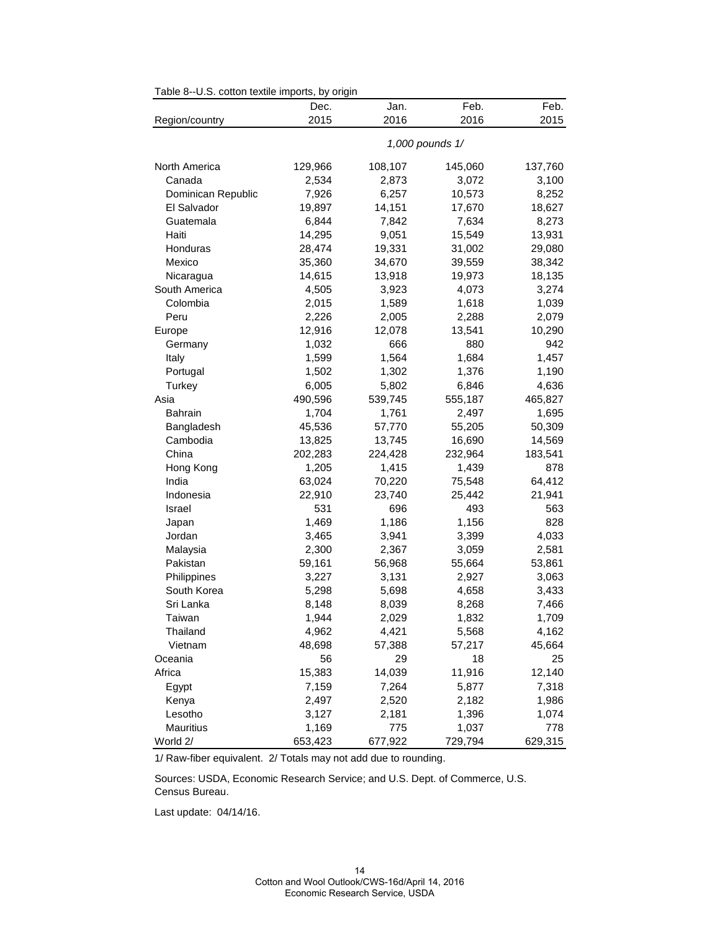|                    | Dec.            | Jan.    | Feb.    | Feb.    |
|--------------------|-----------------|---------|---------|---------|
| Region/country     | 2015            | 2016    | 2016    | 2015    |
|                    | 1,000 pounds 1/ |         |         |         |
| North America      | 129,966         | 108,107 | 145,060 | 137,760 |
| Canada             | 2,534           | 2,873   | 3,072   | 3,100   |
| Dominican Republic | 7,926           | 6,257   | 10,573  | 8,252   |
| El Salvador        | 19,897          | 14,151  | 17,670  | 18,627  |
| Guatemala          | 6,844           | 7,842   | 7,634   | 8,273   |
| Haiti              | 14,295          | 9,051   | 15,549  | 13,931  |
| Honduras           | 28,474          | 19,331  | 31,002  | 29,080  |
| Mexico             | 35,360          | 34,670  | 39,559  | 38,342  |
| Nicaragua          | 14,615          | 13,918  | 19,973  | 18,135  |
| South America      | 4,505           | 3,923   | 4,073   | 3,274   |
| Colombia           | 2,015           | 1,589   | 1,618   | 1,039   |
| Peru               | 2,226           | 2,005   | 2,288   | 2,079   |
| Europe             | 12,916          | 12,078  | 13,541  | 10,290  |
| Germany            | 1,032           | 666     | 880     | 942     |
| Italy              | 1,599           | 1,564   | 1,684   | 1,457   |
| Portugal           | 1,502           | 1,302   | 1,376   | 1,190   |
| Turkey             | 6,005           | 5,802   | 6,846   | 4,636   |
| Asia               | 490,596         | 539,745 | 555,187 | 465,827 |
| <b>Bahrain</b>     | 1,704           | 1,761   | 2,497   | 1,695   |
| Bangladesh         | 45,536          | 57,770  | 55,205  | 50,309  |
| Cambodia           | 13,825          | 13,745  | 16,690  | 14,569  |
| China              | 202,283         | 224,428 | 232,964 | 183,541 |
| Hong Kong          | 1,205           | 1,415   | 1,439   | 878     |
| India              | 63,024          | 70,220  | 75,548  | 64,412  |
| Indonesia          | 22,910          | 23,740  | 25,442  | 21,941  |
| Israel             | 531             | 696     | 493     | 563     |
| Japan              | 1,469           | 1,186   | 1,156   | 828     |
| Jordan             | 3,465           | 3,941   | 3,399   | 4,033   |
| Malaysia           | 2,300           | 2,367   | 3,059   | 2,581   |
| Pakistan           | 59,161          | 56,968  | 55,664  | 53,861  |
| Philippines        | 3,227           | 3,131   | 2,927   | 3,063   |
| South Korea        | 5,298           | 5,698   | 4,658   | 3,433   |
| Sri Lanka          | 8,148           | 8,039   | 8,268   | 7,466   |
| Taiwan             | 1,944           | 2,029   | 1,832   | 1,709   |
| Thailand           | 4,962           | 4,421   | 5,568   | 4,162   |
| Vietnam            | 48,698          | 57,388  | 57,217  | 45,664  |
| Oceania            | 56              | 29      | 18      | 25      |
| Africa             | 15,383          | 14,039  | 11,916  | 12,140  |
| Egypt              | 7,159           | 7,264   | 5,877   | 7,318   |
| Kenya              | 2,497           | 2,520   | 2,182   | 1,986   |
| Lesotho            | 3,127           | 2,181   | 1,396   | 1,074   |
| <b>Mauritius</b>   | 1,169           | 775     | 1,037   | 778     |
| World 2/           | 653,423         | 677,922 | 729,794 | 629,315 |

Table 8--U.S. cotton textile imports, by origin

1/ Raw-fiber equivalent. 2/ Totals may not add due to rounding.

Sources: USDA, Economic Research Service; and U.S. Dept. of Commerce, U.S. Census Bureau.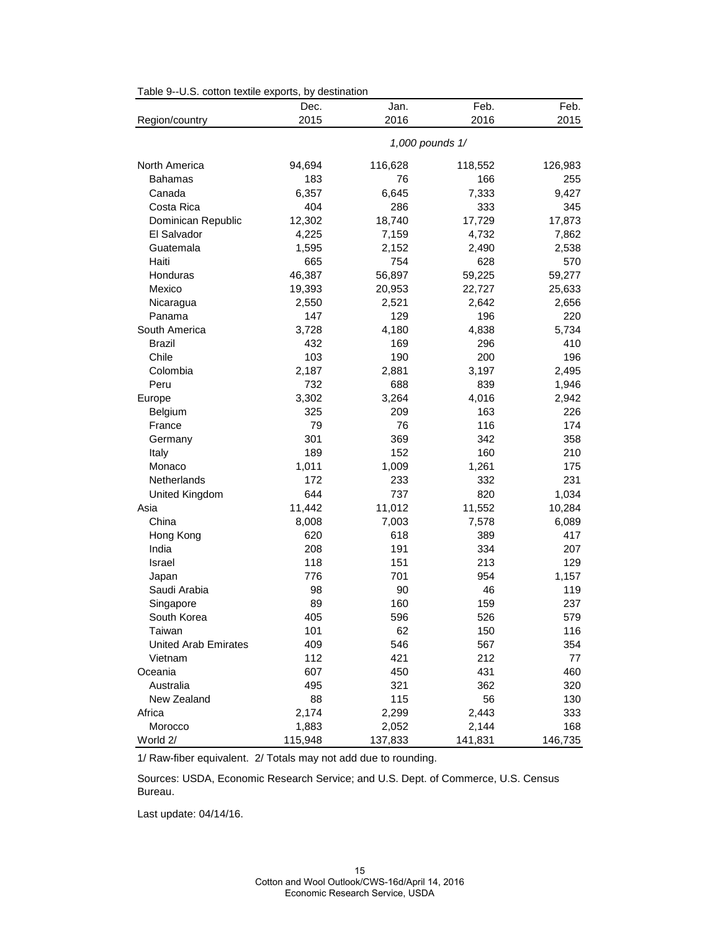| Table 9--U.S. cotton textile exports, by destination |  |
|------------------------------------------------------|--|
|------------------------------------------------------|--|

|                             | Dec.            | Jan.    | Feb.    | Feb.    |
|-----------------------------|-----------------|---------|---------|---------|
| Region/country              | 2015            | 2016    | 2016    | 2015    |
|                             | 1,000 pounds 1/ |         |         |         |
| North America               | 94,694          | 116,628 | 118,552 | 126,983 |
| Bahamas                     | 183             | 76      | 166     | 255     |
| Canada                      | 6,357           | 6,645   | 7,333   | 9,427   |
| Costa Rica                  | 404             | 286     | 333     | 345     |
| Dominican Republic          | 12,302          | 18,740  | 17,729  | 17,873  |
| El Salvador                 | 4,225           | 7,159   | 4,732   | 7,862   |
| Guatemala                   | 1,595           | 2,152   | 2,490   | 2,538   |
| Haiti                       | 665             | 754     | 628     | 570     |
| Honduras                    | 46,387          | 56,897  | 59,225  | 59,277  |
| Mexico                      | 19,393          | 20,953  | 22,727  | 25,633  |
| Nicaragua                   | 2,550           | 2,521   | 2,642   | 2,656   |
| Panama                      | 147             | 129     | 196     | 220     |
| South America               | 3,728           | 4,180   | 4,838   | 5,734   |
| <b>Brazil</b>               | 432             | 169     | 296     | 410     |
| Chile                       | 103             | 190     | 200     | 196     |
| Colombia                    | 2,187           | 2,881   | 3,197   | 2,495   |
| Peru                        | 732             | 688     | 839     | 1,946   |
| Europe                      | 3,302           | 3,264   | 4,016   | 2,942   |
| Belgium                     | 325             | 209     | 163     | 226     |
| France                      | 79              | 76      | 116     | 174     |
| Germany                     | 301             | 369     | 342     | 358     |
| Italy                       | 189             | 152     | 160     | 210     |
| Monaco                      | 1,011           | 1,009   | 1,261   | 175     |
| Netherlands                 | 172             | 233     | 332     | 231     |
| United Kingdom              | 644             | 737     | 820     | 1,034   |
| Asia                        | 11,442          | 11,012  | 11,552  | 10,284  |
| China                       | 8,008           | 7,003   | 7,578   | 6,089   |
| Hong Kong                   | 620             | 618     | 389     | 417     |
| India                       | 208             | 191     | 334     | 207     |
| Israel                      | 118             | 151     | 213     | 129     |
| Japan                       | 776             | 701     | 954     | 1,157   |
| Saudi Arabia                | 98              | 90      | 46      | 119     |
| Singapore                   | 89              | 160     | 159     | 237     |
| South Korea                 | 405             | 596     | 526     | 579     |
| Taiwan                      | 101             | 62      | 150     | 116     |
| <b>United Arab Emirates</b> | 409             | 546     | 567     | 354     |
| Vietnam                     | 112             | 421     | 212     | 77      |
| Oceania                     | 607             | 450     | 431     | 460     |
| Australia                   | 495             | 321     | 362     | 320     |
| New Zealand                 | 88              | 115     | 56      | 130     |
| Africa                      | 2,174           | 2,299   | 2,443   | 333     |
| Morocco                     | 1,883           | 2,052   | 2,144   | 168     |
| World 2/                    | 115,948         | 137,833 | 141,831 | 146,735 |

1/ Raw-fiber equivalent. 2/ Totals may not add due to rounding.

Sources: USDA, Economic Research Service; and U.S. Dept. of Commerce, U.S. Census Bureau.